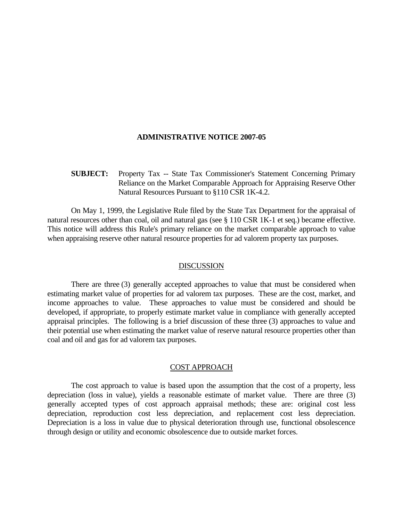#### **ADMINISTRATIVE NOTICE 2007-05**

# **SUBJECT:** Property Tax -- State Tax Commissioner's Statement Concerning Primary Reliance on the Market Comparable Approach for Appraising Reserve Other Natural Resources Pursuant to §110 CSR 1K-4.2.

 On May 1, 1999, the Legislative Rule filed by the State Tax Department for the appraisal of natural resources other than coal, oil and natural gas (see § 110 CSR 1K-1 et seq.) became effective. This notice will address this Rule's primary reliance on the market comparable approach to value when appraising reserve other natural resource properties for ad valorem property tax purposes.

#### DISCUSSION

 There are three (3) generally accepted approaches to value that must be considered when estimating market value of properties for ad valorem tax purposes. These are the cost, market, and income approaches to value. These approaches to value must be considered and should be developed, if appropriate, to properly estimate market value in compliance with generally accepted appraisal principles. The following is a brief discussion of these three (3) approaches to value and their potential use when estimating the market value of reserve natural resource properties other than coal and oil and gas for ad valorem tax purposes.

# COST APPROACH

 The cost approach to value is based upon the assumption that the cost of a property, less depreciation (loss in value), yields a reasonable estimate of market value. There are three (3) generally accepted types of cost approach appraisal methods; these are: original cost less depreciation, reproduction cost less depreciation, and replacement cost less depreciation. Depreciation is a loss in value due to physical deterioration through use, functional obsolescence through design or utility and economic obsolescence due to outside market forces.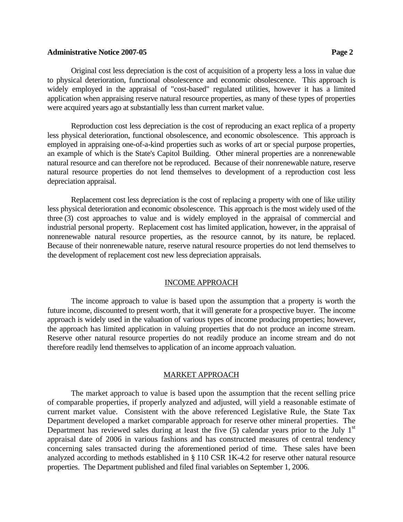## **Administrative Notice 2007-05 Page 2**

 Original cost less depreciation is the cost of acquisition of a property less a loss in value due to physical deterioration, functional obsolescence and economic obsolescence. This approach is widely employed in the appraisal of "cost-based" regulated utilities, however it has a limited application when appraising reserve natural resource properties, as many of these types of properties were acquired years ago at substantially less than current market value.

 Reproduction cost less depreciation is the cost of reproducing an exact replica of a property less physical deterioration, functional obsolescence, and economic obsolescence. This approach is employed in appraising one-of-a-kind properties such as works of art or special purpose properties, an example of which is the State's Capitol Building. Other mineral properties are a nonrenewable natural resource and can therefore not be reproduced. Because of their nonrenewable nature, reserve natural resource properties do not lend themselves to development of a reproduction cost less depreciation appraisal.

 Replacement cost less depreciation is the cost of replacing a property with one of like utility less physical deterioration and economic obsolescence. This approach is the most widely used of the three (3) cost approaches to value and is widely employed in the appraisal of commercial and industrial personal property. Replacement cost has limited application, however, in the appraisal of nonrenewable natural resource properties, as the resource cannot, by its nature, be replaced. Because of their nonrenewable nature, reserve natural resource properties do not lend themselves to the development of replacement cost new less depreciation appraisals.

# INCOME APPROACH

 The income approach to value is based upon the assumption that a property is worth the future income, discounted to present worth, that it will generate for a prospective buyer. The income approach is widely used in the valuation of various types of income producing properties; however, the approach has limited application in valuing properties that do not produce an income stream. Reserve other natural resource properties do not readily produce an income stream and do not therefore readily lend themselves to application of an income approach valuation.

## MARKET APPROACH

The market approach to value is based upon the assumption that the recent selling price of comparable properties, if properly analyzed and adjusted, will yield a reasonable estimate of current market value. Consistent with the above referenced Legislative Rule, the State Tax Department developed a market comparable approach for reserve other mineral properties. The Department has reviewed sales during at least the five  $(5)$  calendar years prior to the July 1<sup>st</sup> appraisal date of 2006 in various fashions and has constructed measures of central tendency concerning sales transacted during the aforementioned period of time. These sales have been analyzed according to methods established in § 110 CSR 1K-4.2 for reserve other natural resource properties. The Department published and filed final variables on September 1, 2006.